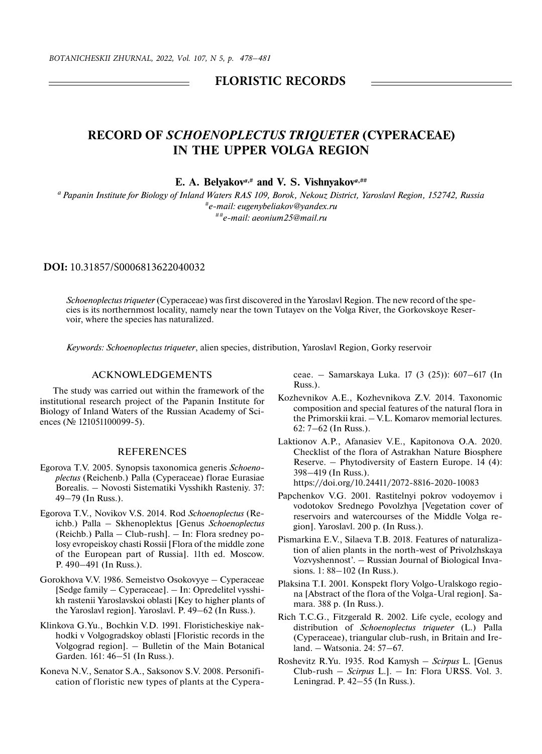## **FLORISTIC RECORDS**

## **RECORD OF** *SCHOENOPLECTUS TRIQUETER* **(CYPERACEAE) IN THE UPPER VOLGA REGION**

**E. A. Belyakov***a***,# and V. S. Vishnyakov***a***,##**

*a Papanin Institute for Biology of Inland Waters RAS 109, Borok, Nekouz District, Yaroslavl Region, 152742, Russia #e-mail: eugenybeliakov@yandex.ru ##e-mail: aeonium25@mail.ru*

**DOI:** 10.31857/S0006813622040032

*Schoenoplectus triqueter* (Cyperaceae) was first discovered in the Yaroslavl Region. The new record of the species is its northernmost locality, namely near the town Tutayev on the Volga River, the Gorkovskoye Reservoir, where the species has naturalized.

*Keywords: Schoenoplectus triqueter*, alien species, distribution, Yaroslavl Region, Gorky reservoir

## ACKNOWLEDGEMENTS

The study was carried out within the framework of the institutional research project of the Papanin Institute for Biology of Inland Waters of the Russian Academy of Sciences (№ 121051100099-5).

## **REFERENCES**

- Egorova T.V. 2005. Synopsis taxonomica generis *Schoenoplectus* (Reichenb.) Palla (Cyperaceae) florae Eurasiae Borealis. – Novosti Sistematiki Vysshikh Rasteniy. 37: 49–79 (In Russ.).
- Egorova T.V., Novikov V.S. 2014. Rod *Schoenoplectus* (Reichb.) Palla – Skhenoplektus [Genus *Schoenoplectus* (Reichb.) Palla – Сlub-rush]. – In: Flora sredney polosy evropeiskoy chasti Rossii [Flora of the middle zone of the European part of Russia]. 11th ed. Moscow. P. 490–491 (In Russ.).
- Gorokhova V.V. 1986. Semeistvo Osokovyye Cyperaceae [Sedge family – Cyperaceae]. – In: Opredelitel vysshikh rastenii Yaroslavskoi oblasti [Key to higher plants of the Yaroslavl region]. Yaroslavl. P. 49–62 (In Russ.).
- Klinkova G.Yu., Bochkin V.D. 1991. Floristicheskiye nakhodki v Volgogradskoy oblasti [Floristic records in the Volgograd region]. – Bulletin of the Main Botanical Garden. 161: 46–51 (In Russ.).
- Koneva N.V., Senator S.A., Saksonov S.V. 2008. Personification of floristic new types of plants at the Cypera-

ceae. – Samarskaya Luka. 17 (3 (25)): 607–617 (In Russ.).

- Kozhevnikov A.E., Kozhevnikova Z.V. 2014. Taxonomic composition and special features of the natural flora in the Primorskii krai. – V.L. Komarov memorial lectures. 62: 7–62 (In Russ.).
- Laktionov A.P., Afanasiev V.E., Kapitonova O.A. 2020. Checklist of the flora of Astrakhan Nature Biosphere Reserve. – Phytodiversity of Eastern Europe. 14 (4): 398–419 (In Russ.). https://doi.org/10.24411/2072-8816-2020-10083
- Papchenkov V.G. 2001. Rastitelnyi pokrov vodoyemov i vodotokov Srednego Povolzhya [Vegetation cover of reservoirs and watercourses of the Middle Volga region]. Yaroslavl. 200 p. (In Russ.).
- Pismarkina E.V., Silaeva T.B. 2018. Features of naturalization of alien plants in the north-west of Privolzhskaya Vozvyshennost'. – Russian Journal of Biological Invasions. 1: 88–102 (In Russ.).
- Plaksina T.I. 2001. Konspekt flory Volgo-Uralskogo regiona [Abstract of the flora of the Volga-Ural region]. Samara. 388 p. (In Russ.).
- Rich T.C.G., Fitzgerald R. 2002. Life cycle, ecology and distribution of *Schoenoplectus triqueter* (L.) Palla (Cyperaceae), triangular club-rush, in Britain and Ireland. – Watsonia. 24: 57–67.
- Roshevitz R.Yu. 1935. Rod Kamysh *Scirpus* L. [Genus Сlub-rush – *Scirpus* L.]. – In: Flora URSS. Vol. 3. Leningrad. P. 42–55 (In Russ.).